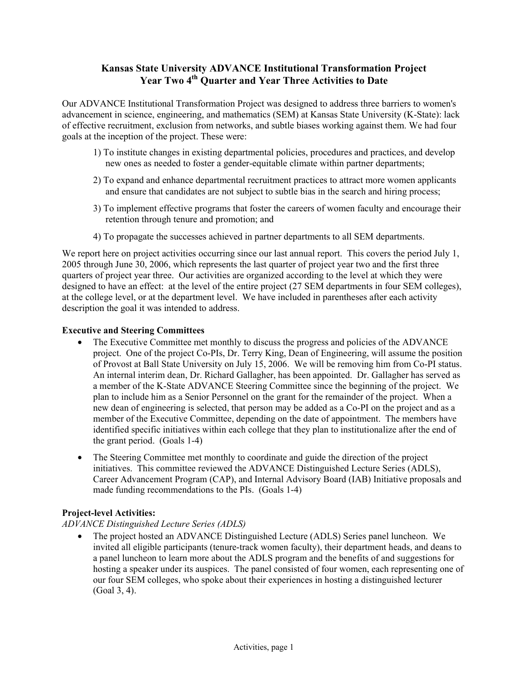# **Kansas State University ADVANCE Institutional Transformation Project**  Year Two 4<sup>th</sup> Quarter and Year Three Activities to Date

Our ADVANCE Institutional Transformation Project was designed to address three barriers to women's advancement in science, engineering, and mathematics (SEM) at Kansas State University (K-State): lack of effective recruitment, exclusion from networks, and subtle biases working against them. We had four goals at the inception of the project. These were:

- 1) To institute changes in existing departmental policies, procedures and practices, and develop new ones as needed to foster a gender-equitable climate within partner departments;
- 2) To expand and enhance departmental recruitment practices to attract more women applicants and ensure that candidates are not subject to subtle bias in the search and hiring process;
- 3) To implement effective programs that foster the careers of women faculty and encourage their retention through tenure and promotion; and
- 4) To propagate the successes achieved in partner departments to all SEM departments.

We report here on project activities occurring since our last annual report. This covers the period July 1, 2005 through June 30, 2006, which represents the last quarter of project year two and the first three quarters of project year three. Our activities are organized according to the level at which they were designed to have an effect: at the level of the entire project (27 SEM departments in four SEM colleges), at the college level, or at the department level. We have included in parentheses after each activity description the goal it was intended to address.

## **Executive and Steering Committees**

- The Executive Committee met monthly to discuss the progress and policies of the ADVANCE project. One of the project Co-PIs, Dr. Terry King, Dean of Engineering, will assume the position of Provost at Ball State University on July 15, 2006. We will be removing him from Co-PI status. An internal interim dean, Dr. Richard Gallagher, has been appointed. Dr. Gallagher has served as a member of the K-State ADVANCE Steering Committee since the beginning of the project. We plan to include him as a Senior Personnel on the grant for the remainder of the project. When a new dean of engineering is selected, that person may be added as a Co-PI on the project and as a member of the Executive Committee, depending on the date of appointment. The members have identified specific initiatives within each college that they plan to institutionalize after the end of the grant period. (Goals 1-4)
- The Steering Committee met monthly to coordinate and guide the direction of the project initiatives. This committee reviewed the ADVANCE Distinguished Lecture Series (ADLS), Career Advancement Program (CAP), and Internal Advisory Board (IAB) Initiative proposals and made funding recommendations to the PIs. (Goals 1-4)

# **Project-level Activities:**

# *ADVANCE Distinguished Lecture Series (ADLS)*

• The project hosted an ADVANCE Distinguished Lecture (ADLS) Series panel luncheon. We invited all eligible participants (tenure-track women faculty), their department heads, and deans to a panel luncheon to learn more about the ADLS program and the benefits of and suggestions for hosting a speaker under its auspices. The panel consisted of four women, each representing one of our four SEM colleges, who spoke about their experiences in hosting a distinguished lecturer (Goal 3, 4).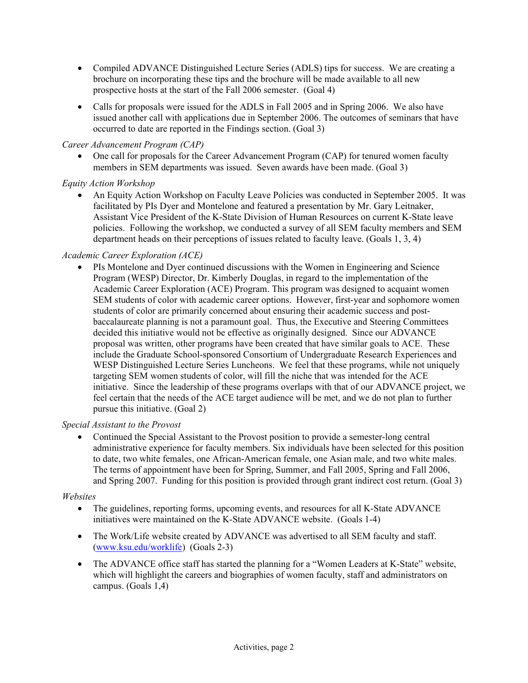- Compiled ADVANCE Distinguished Lecture Series (ADLS) tips for success. We are creating a brochure on incorporating these tips and the brochure will be made available to all new prospective hosts at the start of the Fall 2006 semester. (Goal 4)
- Calls for proposals were issued for the ADLS in Fall 2005 and in Spring 2006. We also have issued another call with applications due in September 2006. The outcomes of seminars that have occurred to date are reported in the Findings section. (Goal 3)

## *Career Advancement Program (CAP)*

• One call for proposals for the Career Advancement Program (CAP) for tenured women faculty members in SEM departments was issued. Seven awards have been made. (Goal 3)

## *Equity Action Workshop*

• An Equity Action Workshop on Faculty Leave Policies was conducted in September 2005. It was facilitated by PIs Dyer and Montelone and featured a presentation by Mr. Gary Leitnaker, Assistant Vice President of the K-State Division of Human Resources on current K-State leave policies. Following the workshop, we conducted a survey of all SEM faculty members and SEM department heads on their perceptions of issues related to faculty leave. (Goals 1, 3, 4)

## *Academic Career Exploration (ACE)*

• PIs Montelone and Dyer continued discussions with the Women in Engineering and Science Program (WESP) Director, Dr. Kimberly Douglas, in regard to the implementation of the Academic Career Exploration (ACE) Program. This program was designed to acquaint women SEM students of color with academic career options. However, first-year and sophomore women students of color are primarily concerned about ensuring their academic success and postbaccalaureate planning is not a paramount goal. Thus, the Executive and Steering Committees decided this initiative would not be effective as originally designed. Since our ADVANCE proposal was written, other programs have been created that have similar goals to ACE. These include the Graduate School-sponsored Consortium of Undergraduate Research Experiences and WESP Distinguished Lecture Series Luncheons. We feel that these programs, while not uniquely targeting SEM women students of color, will fill the niche that was intended for the ACE initiative. Since the leadership of these programs overlaps with that of our ADVANCE project, we feel certain that the needs of the ACE target audience will be met, and we do not plan to further pursue this initiative. (Goal 2)

### *Special Assistant to the Provost*

• Continued the Special Assistant to the Provost position to provide a semester-long central administrative experience for faculty members. Six individuals have been selected for this position to date, two white females, one African-American female, one Asian male, and two white males. The terms of appointment have been for Spring, Summer, and Fall 2005, Spring and Fall 2006, and Spring 2007. Funding for this position is provided through grant indirect cost return. (Goal 3)

### *Websites*

- The guidelines, reporting forms, upcoming events, and resources for all K-State ADVANCE initiatives were maintained on the K-State ADVANCE website. (Goals 1-4)
- The Work/Life website created by ADVANCE was advertised to all SEM faculty and staff. (www.ksu.edu/worklife) (Goals 2-3)
- The ADVANCE office staff has started the planning for a "Women Leaders at K-State" website, which will highlight the careers and biographies of women faculty, staff and administrators on campus. (Goals 1,4)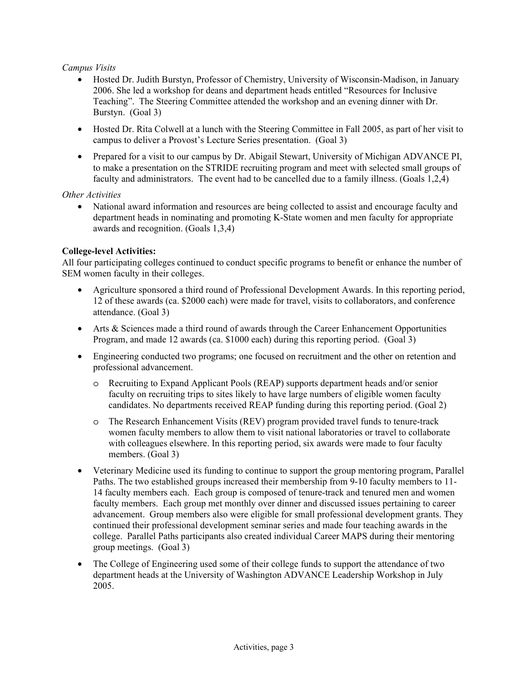### *Campus Visits*

- Hosted Dr. Judith Burstyn, Professor of Chemistry, University of Wisconsin-Madison, in January 2006. She led a workshop for deans and department heads entitled "Resources for Inclusive Teaching". The Steering Committee attended the workshop and an evening dinner with Dr. Burstyn. (Goal 3)
- Hosted Dr. Rita Colwell at a lunch with the Steering Committee in Fall 2005, as part of her visit to campus to deliver a Provost's Lecture Series presentation. (Goal 3)
- Prepared for a visit to our campus by Dr. Abigail Stewart, University of Michigan ADVANCE PI, to make a presentation on the STRIDE recruiting program and meet with selected small groups of faculty and administrators. The event had to be cancelled due to a family illness. (Goals 1,2,4)

## *Other Activities*

• National award information and resources are being collected to assist and encourage faculty and department heads in nominating and promoting K-State women and men faculty for appropriate awards and recognition. (Goals 1,3,4)

## **College-level Activities:**

All four participating colleges continued to conduct specific programs to benefit or enhance the number of SEM women faculty in their colleges.

- Agriculture sponsored a third round of Professional Development Awards. In this reporting period, 12 of these awards (ca. \$2000 each) were made for travel, visits to collaborators, and conference attendance. (Goal 3)
- Arts & Sciences made a third round of awards through the Career Enhancement Opportunities Program, and made 12 awards (ca. \$1000 each) during this reporting period. (Goal 3)
- Engineering conducted two programs; one focused on recruitment and the other on retention and professional advancement.
	- o Recruiting to Expand Applicant Pools (REAP) supports department heads and/or senior faculty on recruiting trips to sites likely to have large numbers of eligible women faculty candidates. No departments received REAP funding during this reporting period. (Goal 2)
	- o The Research Enhancement Visits (REV) program provided travel funds to tenure-track women faculty members to allow them to visit national laboratories or travel to collaborate with colleagues elsewhere. In this reporting period, six awards were made to four faculty members. (Goal 3)
- Veterinary Medicine used its funding to continue to support the group mentoring program, Parallel Paths. The two established groups increased their membership from 9-10 faculty members to 11- 14 faculty members each. Each group is composed of tenure-track and tenured men and women faculty members. Each group met monthly over dinner and discussed issues pertaining to career advancement. Group members also were eligible for small professional development grants. They continued their professional development seminar series and made four teaching awards in the college. Parallel Paths participants also created individual Career MAPS during their mentoring group meetings. (Goal 3)
- The College of Engineering used some of their college funds to support the attendance of two department heads at the University of Washington ADVANCE Leadership Workshop in July 2005.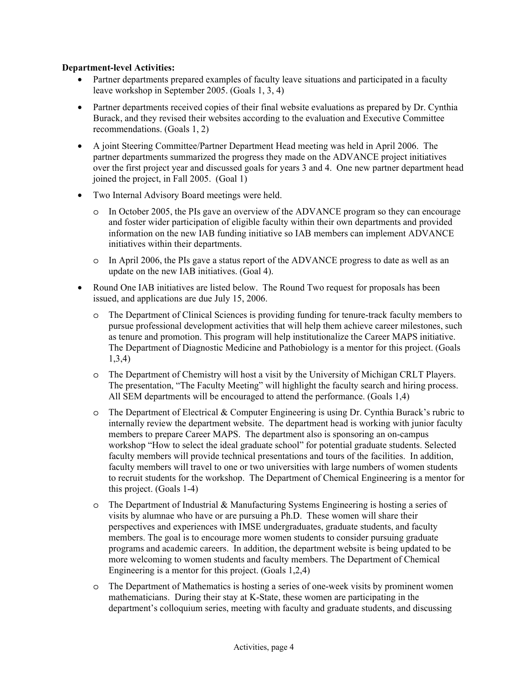### **Department-level Activities:**

- Partner departments prepared examples of faculty leave situations and participated in a faculty leave workshop in September 2005. (Goals 1, 3, 4)
- Partner departments received copies of their final website evaluations as prepared by Dr. Cynthia Burack, and they revised their websites according to the evaluation and Executive Committee recommendations. (Goals 1, 2)
- A joint Steering Committee/Partner Department Head meeting was held in April 2006. The partner departments summarized the progress they made on the ADVANCE project initiatives over the first project year and discussed goals for years 3 and 4. One new partner department head joined the project, in Fall 2005. (Goal 1)
- Two Internal Advisory Board meetings were held.
	- o In October 2005, the PIs gave an overview of the ADVANCE program so they can encourage and foster wider participation of eligible faculty within their own departments and provided information on the new IAB funding initiative so IAB members can implement ADVANCE initiatives within their departments.
	- o In April 2006, the PIs gave a status report of the ADVANCE progress to date as well as an update on the new IAB initiatives. (Goal 4).
- Round One IAB initiatives are listed below. The Round Two request for proposals has been issued, and applications are due July 15, 2006.
	- o The Department of Clinical Sciences is providing funding for tenure-track faculty members to pursue professional development activities that will help them achieve career milestones, such as tenure and promotion. This program will help institutionalize the Career MAPS initiative. The Department of Diagnostic Medicine and Pathobiology is a mentor for this project. (Goals 1,3,4)
	- o The Department of Chemistry will host a visit by the University of Michigan CRLT Players. The presentation, "The Faculty Meeting" will highlight the faculty search and hiring process. All SEM departments will be encouraged to attend the performance. (Goals 1,4)
	- o The Department of Electrical & Computer Engineering is using Dr. Cynthia Burack's rubric to internally review the department website. The department head is working with junior faculty members to prepare Career MAPS. The department also is sponsoring an on-campus workshop "How to select the ideal graduate school" for potential graduate students. Selected faculty members will provide technical presentations and tours of the facilities. In addition, faculty members will travel to one or two universities with large numbers of women students to recruit students for the workshop. The Department of Chemical Engineering is a mentor for this project. (Goals 1-4)
	- o The Department of Industrial & Manufacturing Systems Engineering is hosting a series of visits by alumnae who have or are pursuing a Ph.D. These women will share their perspectives and experiences with IMSE undergraduates, graduate students, and faculty members. The goal is to encourage more women students to consider pursuing graduate programs and academic careers. In addition, the department website is being updated to be more welcoming to women students and faculty members. The Department of Chemical Engineering is a mentor for this project. (Goals 1,2,4)
	- o The Department of Mathematics is hosting a series of one-week visits by prominent women mathematicians. During their stay at K-State, these women are participating in the department's colloquium series, meeting with faculty and graduate students, and discussing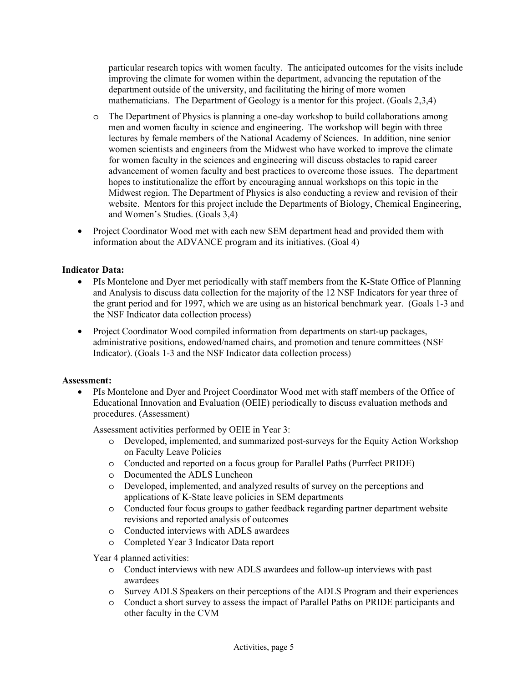particular research topics with women faculty. The anticipated outcomes for the visits include improving the climate for women within the department, advancing the reputation of the department outside of the university, and facilitating the hiring of more women mathematicians. The Department of Geology is a mentor for this project. (Goals 2,3,4)

- o The Department of Physics is planning a one-day workshop to build collaborations among men and women faculty in science and engineering. The workshop will begin with three lectures by female members of the National Academy of Sciences. In addition, nine senior women scientists and engineers from the Midwest who have worked to improve the climate for women faculty in the sciences and engineering will discuss obstacles to rapid career advancement of women faculty and best practices to overcome those issues. The department hopes to institutionalize the effort by encouraging annual workshops on this topic in the Midwest region. The Department of Physics is also conducting a review and revision of their website. Mentors for this project include the Departments of Biology, Chemical Engineering, and Women's Studies. (Goals 3,4)
- Project Coordinator Wood met with each new SEM department head and provided them with information about the ADVANCE program and its initiatives. (Goal 4)

## **Indicator Data:**

- PIs Montelone and Dyer met periodically with staff members from the K-State Office of Planning and Analysis to discuss data collection for the majority of the 12 NSF Indicators for year three of the grant period and for 1997, which we are using as an historical benchmark year. (Goals 1-3 and the NSF Indicator data collection process)
- Project Coordinator Wood compiled information from departments on start-up packages, administrative positions, endowed/named chairs, and promotion and tenure committees (NSF Indicator). (Goals 1-3 and the NSF Indicator data collection process)

### **Assessment:**

• PIs Montelone and Dyer and Project Coordinator Wood met with staff members of the Office of Educational Innovation and Evaluation (OEIE) periodically to discuss evaluation methods and procedures. (Assessment)

Assessment activities performed by OEIE in Year 3:

- o Developed, implemented, and summarized post-surveys for the Equity Action Workshop on Faculty Leave Policies
- o Conducted and reported on a focus group for Parallel Paths (Purrfect PRIDE)
- o Documented the ADLS Luncheon
- o Developed, implemented, and analyzed results of survey on the perceptions and applications of K-State leave policies in SEM departments
- o Conducted four focus groups to gather feedback regarding partner department website revisions and reported analysis of outcomes
- o Conducted interviews with ADLS awardees
- o Completed Year 3 Indicator Data report

Year 4 planned activities:

- o Conduct interviews with new ADLS awardees and follow-up interviews with past awardees
- o Survey ADLS Speakers on their perceptions of the ADLS Program and their experiences
- o Conduct a short survey to assess the impact of Parallel Paths on PRIDE participants and other faculty in the CVM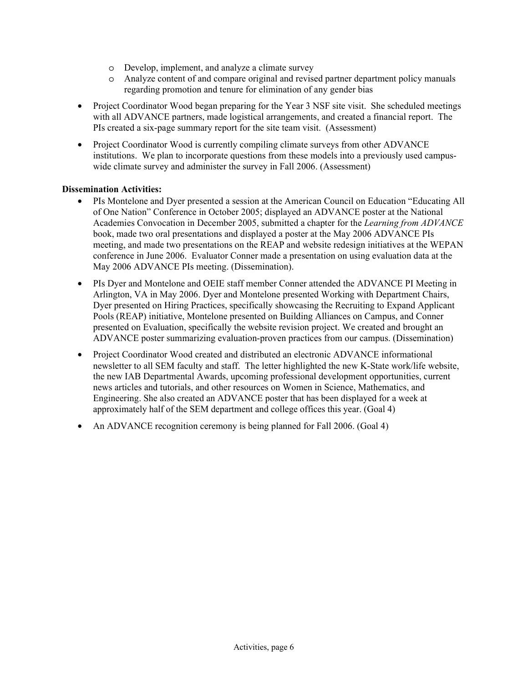- o Develop, implement, and analyze a climate survey
- o Analyze content of and compare original and revised partner department policy manuals regarding promotion and tenure for elimination of any gender bias
- Project Coordinator Wood began preparing for the Year 3 NSF site visit. She scheduled meetings with all ADVANCE partners, made logistical arrangements, and created a financial report. The PIs created a six-page summary report for the site team visit. (Assessment)
- Project Coordinator Wood is currently compiling climate surveys from other ADVANCE institutions. We plan to incorporate questions from these models into a previously used campuswide climate survey and administer the survey in Fall 2006. (Assessment)

## **Dissemination Activities:**

- PIs Montelone and Dyer presented a session at the American Council on Education "Educating All of One Nation" Conference in October 2005; displayed an ADVANCE poster at the National Academies Convocation in December 2005, submitted a chapter for the *Learning from ADVANCE* book, made two oral presentations and displayed a poster at the May 2006 ADVANCE PIs meeting, and made two presentations on the REAP and website redesign initiatives at the WEPAN conference in June 2006. Evaluator Conner made a presentation on using evaluation data at the May 2006 ADVANCE PIs meeting. (Dissemination).
- PIs Dyer and Montelone and OEIE staff member Conner attended the ADVANCE PI Meeting in Arlington, VA in May 2006. Dyer and Montelone presented Working with Department Chairs, Dyer presented on Hiring Practices, specifically showcasing the Recruiting to Expand Applicant Pools (REAP) initiative, Montelone presented on Building Alliances on Campus, and Conner presented on Evaluation, specifically the website revision project. We created and brought an ADVANCE poster summarizing evaluation-proven practices from our campus. (Dissemination)
- Project Coordinator Wood created and distributed an electronic ADVANCE informational newsletter to all SEM faculty and staff. The letter highlighted the new K-State work/life website, the new IAB Departmental Awards, upcoming professional development opportunities, current news articles and tutorials, and other resources on Women in Science, Mathematics, and Engineering. She also created an ADVANCE poster that has been displayed for a week at approximately half of the SEM department and college offices this year. (Goal 4)
- An ADVANCE recognition ceremony is being planned for Fall 2006. (Goal 4)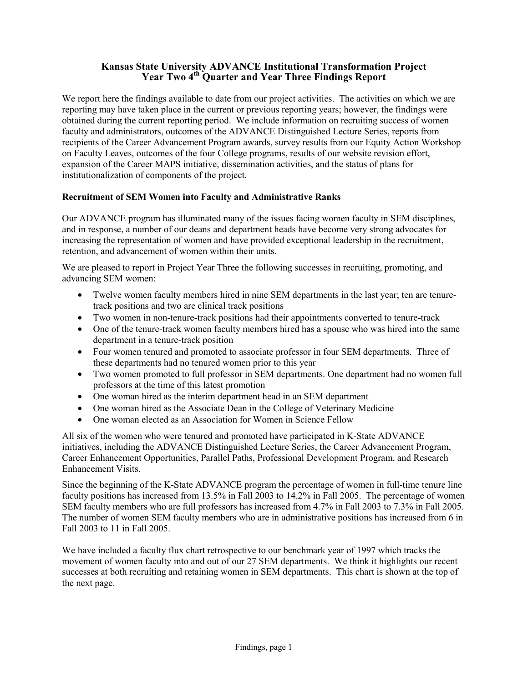## **Kansas State University ADVANCE Institutional Transformation Project**  Year Two 4<sup>th</sup> Quarter and Year Three Findings Report

We report here the findings available to date from our project activities. The activities on which we are reporting may have taken place in the current or previous reporting years; however, the findings were obtained during the current reporting period. We include information on recruiting success of women faculty and administrators, outcomes of the ADVANCE Distinguished Lecture Series, reports from recipients of the Career Advancement Program awards, survey results from our Equity Action Workshop on Faculty Leaves, outcomes of the four College programs, results of our website revision effort, expansion of the Career MAPS initiative, dissemination activities, and the status of plans for institutionalization of components of the project.

## **Recruitment of SEM Women into Faculty and Administrative Ranks**

Our ADVANCE program has illuminated many of the issues facing women faculty in SEM disciplines, and in response, a number of our deans and department heads have become very strong advocates for increasing the representation of women and have provided exceptional leadership in the recruitment, retention, and advancement of women within their units.

We are pleased to report in Project Year Three the following successes in recruiting, promoting, and advancing SEM women:

- Twelve women faculty members hired in nine SEM departments in the last year; ten are tenuretrack positions and two are clinical track positions
- Two women in non-tenure-track positions had their appointments converted to tenure-track
- One of the tenure-track women faculty members hired has a spouse who was hired into the same department in a tenure-track position
- Four women tenured and promoted to associate professor in four SEM departments. Three of these departments had no tenured women prior to this year
- Two women promoted to full professor in SEM departments. One department had no women full professors at the time of this latest promotion
- One woman hired as the interim department head in an SEM department
- One woman hired as the Associate Dean in the College of Veterinary Medicine
- One woman elected as an Association for Women in Science Fellow

All six of the women who were tenured and promoted have participated in K-State ADVANCE initiatives, including the ADVANCE Distinguished Lecture Series, the Career Advancement Program, Career Enhancement Opportunities, Parallel Paths, Professional Development Program, and Research Enhancement Visits.

Since the beginning of the K-State ADVANCE program the percentage of women in full-time tenure line faculty positions has increased from 13.5% in Fall 2003 to 14.2% in Fall 2005. The percentage of women SEM faculty members who are full professors has increased from 4.7% in Fall 2003 to 7.3% in Fall 2005. The number of women SEM faculty members who are in administrative positions has increased from 6 in Fall 2003 to 11 in Fall 2005.

We have included a faculty flux chart retrospective to our benchmark year of 1997 which tracks the movement of women faculty into and out of our 27 SEM departments. We think it highlights our recent successes at both recruiting and retaining women in SEM departments. This chart is shown at the top of the next page.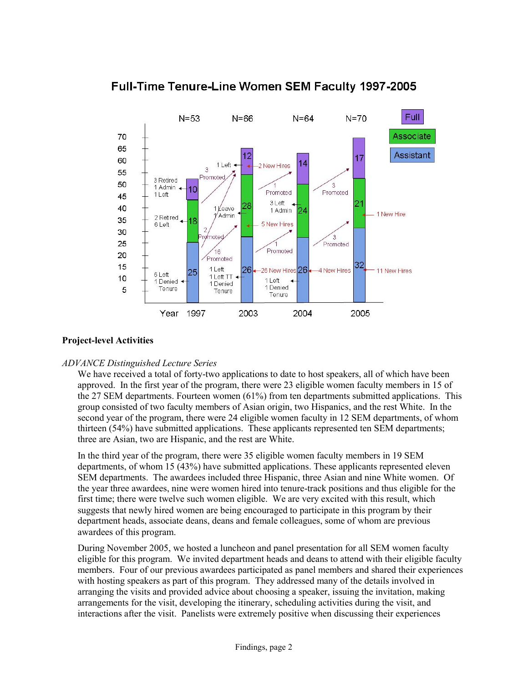Full-Time Tenure-Line Women SEM Faculty 1997-2005



## **Project-level Activities**

# *ADVANCE Distinguished Lecture Series*

We have received a total of forty-two applications to date to host speakers, all of which have been approved. In the first year of the program, there were 23 eligible women faculty members in 15 of the 27 SEM departments. Fourteen women (61%) from ten departments submitted applications. This group consisted of two faculty members of Asian origin, two Hispanics, and the rest White. In the second year of the program, there were 24 eligible women faculty in 12 SEM departments, of whom thirteen (54%) have submitted applications. These applicants represented ten SEM departments; three are Asian, two are Hispanic, and the rest are White.

In the third year of the program, there were 35 eligible women faculty members in 19 SEM departments, of whom 15 (43%) have submitted applications. These applicants represented eleven SEM departments. The awardees included three Hispanic, three Asian and nine White women. Of the year three awardees, nine were women hired into tenure-track positions and thus eligible for the first time; there were twelve such women eligible. We are very excited with this result, which suggests that newly hired women are being encouraged to participate in this program by their department heads, associate deans, deans and female colleagues, some of whom are previous awardees of this program.

During November 2005, we hosted a luncheon and panel presentation for all SEM women faculty eligible for this program. We invited department heads and deans to attend with their eligible faculty members. Four of our previous awardees participated as panel members and shared their experiences with hosting speakers as part of this program. They addressed many of the details involved in arranging the visits and provided advice about choosing a speaker, issuing the invitation, making arrangements for the visit, developing the itinerary, scheduling activities during the visit, and interactions after the visit. Panelists were extremely positive when discussing their experiences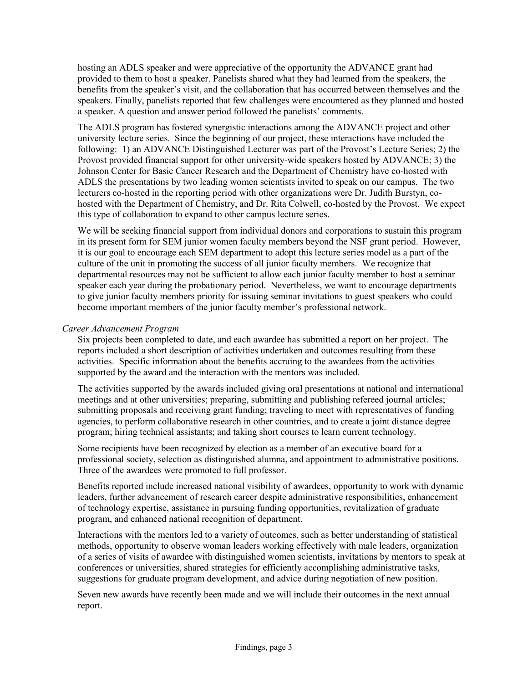hosting an ADLS speaker and were appreciative of the opportunity the ADVANCE grant had provided to them to host a speaker. Panelists shared what they had learned from the speakers, the benefits from the speaker's visit, and the collaboration that has occurred between themselves and the speakers. Finally, panelists reported that few challenges were encountered as they planned and hosted a speaker. A question and answer period followed the panelists' comments.

The ADLS program has fostered synergistic interactions among the ADVANCE project and other university lecture series. Since the beginning of our project, these interactions have included the following: 1) an ADVANCE Distinguished Lecturer was part of the Provost's Lecture Series; 2) the Provost provided financial support for other university-wide speakers hosted by ADVANCE; 3) the Johnson Center for Basic Cancer Research and the Department of Chemistry have co-hosted with ADLS the presentations by two leading women scientists invited to speak on our campus. The two lecturers co-hosted in the reporting period with other organizations were Dr. Judith Burstyn, cohosted with the Department of Chemistry, and Dr. Rita Colwell, co-hosted by the Provost. We expect this type of collaboration to expand to other campus lecture series.

We will be seeking financial support from individual donors and corporations to sustain this program in its present form for SEM junior women faculty members beyond the NSF grant period. However, it is our goal to encourage each SEM department to adopt this lecture series model as a part of the culture of the unit in promoting the success of all junior faculty members. We recognize that departmental resources may not be sufficient to allow each junior faculty member to host a seminar speaker each year during the probationary period. Nevertheless, we want to encourage departments to give junior faculty members priority for issuing seminar invitations to guest speakers who could become important members of the junior faculty member's professional network.

### *Career Advancement Program*

Six projects been completed to date, and each awardee has submitted a report on her project. The reports included a short description of activities undertaken and outcomes resulting from these activities. Specific information about the benefits accruing to the awardees from the activities supported by the award and the interaction with the mentors was included.

The activities supported by the awards included giving oral presentations at national and international meetings and at other universities; preparing, submitting and publishing refereed journal articles; submitting proposals and receiving grant funding; traveling to meet with representatives of funding agencies, to perform collaborative research in other countries, and to create a joint distance degree program; hiring technical assistants; and taking short courses to learn current technology.

Some recipients have been recognized by election as a member of an executive board for a professional society, selection as distinguished alumna, and appointment to administrative positions. Three of the awardees were promoted to full professor.

Benefits reported include increased national visibility of awardees, opportunity to work with dynamic leaders, further advancement of research career despite administrative responsibilities, enhancement of technology expertise, assistance in pursuing funding opportunities, revitalization of graduate program, and enhanced national recognition of department.

Interactions with the mentors led to a variety of outcomes, such as better understanding of statistical methods, opportunity to observe woman leaders working effectively with male leaders, organization of a series of visits of awardee with distinguished women scientists, invitations by mentors to speak at conferences or universities, shared strategies for efficiently accomplishing administrative tasks, suggestions for graduate program development, and advice during negotiation of new position.

Seven new awards have recently been made and we will include their outcomes in the next annual report.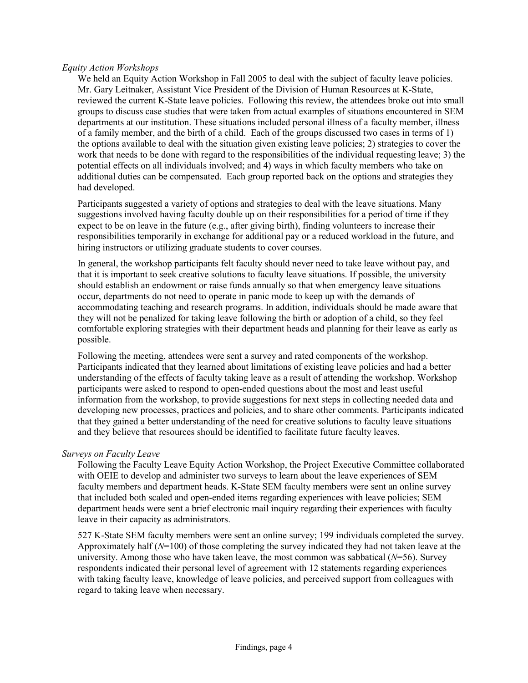#### *Equity Action Workshops*

We held an Equity Action Workshop in Fall 2005 to deal with the subject of faculty leave policies. Mr. Gary Leitnaker, Assistant Vice President of the Division of Human Resources at K-State, reviewed the current K-State leave policies. Following this review, the attendees broke out into small groups to discuss case studies that were taken from actual examples of situations encountered in SEM departments at our institution. These situations included personal illness of a faculty member, illness of a family member, and the birth of a child. Each of the groups discussed two cases in terms of 1) the options available to deal with the situation given existing leave policies; 2) strategies to cover the work that needs to be done with regard to the responsibilities of the individual requesting leave; 3) the potential effects on all individuals involved; and 4) ways in which faculty members who take on additional duties can be compensated. Each group reported back on the options and strategies they had developed.

Participants suggested a variety of options and strategies to deal with the leave situations. Many suggestions involved having faculty double up on their responsibilities for a period of time if they expect to be on leave in the future (e.g., after giving birth), finding volunteers to increase their responsibilities temporarily in exchange for additional pay or a reduced workload in the future, and hiring instructors or utilizing graduate students to cover courses.

In general, the workshop participants felt faculty should never need to take leave without pay, and that it is important to seek creative solutions to faculty leave situations. If possible, the university should establish an endowment or raise funds annually so that when emergency leave situations occur, departments do not need to operate in panic mode to keep up with the demands of accommodating teaching and research programs. In addition, individuals should be made aware that they will not be penalized for taking leave following the birth or adoption of a child, so they feel comfortable exploring strategies with their department heads and planning for their leave as early as possible.

Following the meeting, attendees were sent a survey and rated components of the workshop. Participants indicated that they learned about limitations of existing leave policies and had a better understanding of the effects of faculty taking leave as a result of attending the workshop. Workshop participants were asked to respond to open-ended questions about the most and least useful information from the workshop, to provide suggestions for next steps in collecting needed data and developing new processes, practices and policies, and to share other comments. Participants indicated that they gained a better understanding of the need for creative solutions to faculty leave situations and they believe that resources should be identified to facilitate future faculty leaves.

#### *Surveys on Faculty Leave*

Following the Faculty Leave Equity Action Workshop, the Project Executive Committee collaborated with OEIE to develop and administer two surveys to learn about the leave experiences of SEM faculty members and department heads. K-State SEM faculty members were sent an online survey that included both scaled and open-ended items regarding experiences with leave policies; SEM department heads were sent a brief electronic mail inquiry regarding their experiences with faculty leave in their capacity as administrators.

527 K-State SEM faculty members were sent an online survey; 199 individuals completed the survey. Approximately half (*N*=100) of those completing the survey indicated they had not taken leave at the university. Among those who have taken leave, the most common was sabbatical (*N*=56). Survey respondents indicated their personal level of agreement with 12 statements regarding experiences with taking faculty leave, knowledge of leave policies, and perceived support from colleagues with regard to taking leave when necessary.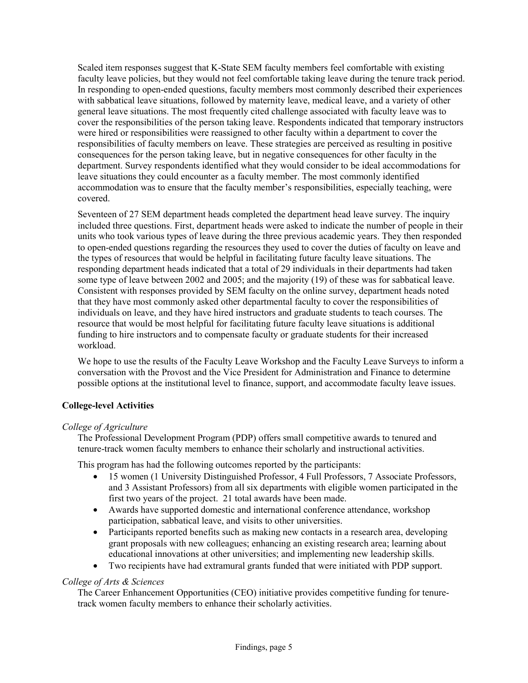Scaled item responses suggest that K-State SEM faculty members feel comfortable with existing faculty leave policies, but they would not feel comfortable taking leave during the tenure track period. In responding to open-ended questions, faculty members most commonly described their experiences with sabbatical leave situations, followed by maternity leave, medical leave, and a variety of other general leave situations. The most frequently cited challenge associated with faculty leave was to cover the responsibilities of the person taking leave. Respondents indicated that temporary instructors were hired or responsibilities were reassigned to other faculty within a department to cover the responsibilities of faculty members on leave. These strategies are perceived as resulting in positive consequences for the person taking leave, but in negative consequences for other faculty in the department. Survey respondents identified what they would consider to be ideal accommodations for leave situations they could encounter as a faculty member. The most commonly identified accommodation was to ensure that the faculty member's responsibilities, especially teaching, were covered.

Seventeen of 27 SEM department heads completed the department head leave survey. The inquiry included three questions. First, department heads were asked to indicate the number of people in their units who took various types of leave during the three previous academic years. They then responded to open-ended questions regarding the resources they used to cover the duties of faculty on leave and the types of resources that would be helpful in facilitating future faculty leave situations. The responding department heads indicated that a total of 29 individuals in their departments had taken some type of leave between 2002 and 2005; and the majority (19) of these was for sabbatical leave. Consistent with responses provided by SEM faculty on the online survey, department heads noted that they have most commonly asked other departmental faculty to cover the responsibilities of individuals on leave, and they have hired instructors and graduate students to teach courses. The resource that would be most helpful for facilitating future faculty leave situations is additional funding to hire instructors and to compensate faculty or graduate students for their increased workload.

We hope to use the results of the Faculty Leave Workshop and the Faculty Leave Surveys to inform a conversation with the Provost and the Vice President for Administration and Finance to determine possible options at the institutional level to finance, support, and accommodate faculty leave issues.

# **College-level Activities**

# *College of Agriculture*

The Professional Development Program (PDP) offers small competitive awards to tenured and tenure-track women faculty members to enhance their scholarly and instructional activities.

This program has had the following outcomes reported by the participants:

- 15 women (1 University Distinguished Professor, 4 Full Professors, 7 Associate Professors, and 3 Assistant Professors) from all six departments with eligible women participated in the first two years of the project. 21 total awards have been made.
- Awards have supported domestic and international conference attendance, workshop participation, sabbatical leave, and visits to other universities.
- Participants reported benefits such as making new contacts in a research area, developing grant proposals with new colleagues; enhancing an existing research area; learning about educational innovations at other universities; and implementing new leadership skills.
- Two recipients have had extramural grants funded that were initiated with PDP support.

# *College of Arts & Sciences*

The Career Enhancement Opportunities (CEO) initiative provides competitive funding for tenuretrack women faculty members to enhance their scholarly activities.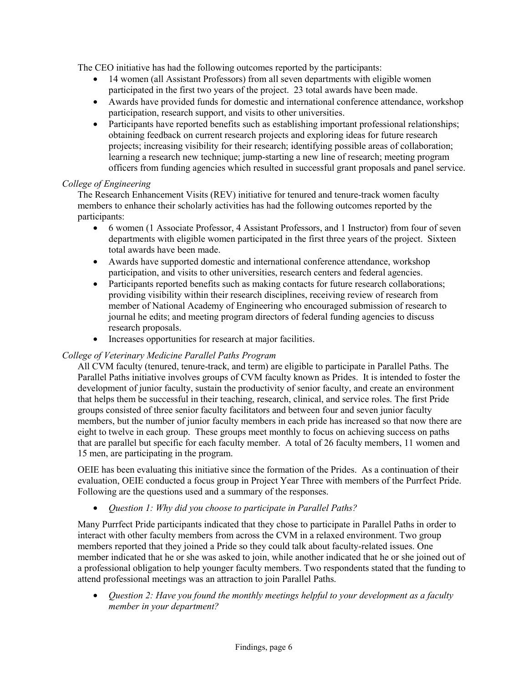The CEO initiative has had the following outcomes reported by the participants:

- 14 women (all Assistant Professors) from all seven departments with eligible women participated in the first two years of the project. 23 total awards have been made.
- Awards have provided funds for domestic and international conference attendance, workshop participation, research support, and visits to other universities.
- Participants have reported benefits such as establishing important professional relationships; obtaining feedback on current research projects and exploring ideas for future research projects; increasing visibility for their research; identifying possible areas of collaboration; learning a research new technique; jump-starting a new line of research; meeting program officers from funding agencies which resulted in successful grant proposals and panel service.

### *College of Engineering*

The Research Enhancement Visits (REV) initiative for tenured and tenure-track women faculty members to enhance their scholarly activities has had the following outcomes reported by the participants:

- 6 women (1 Associate Professor, 4 Assistant Professors, and 1 Instructor) from four of seven departments with eligible women participated in the first three years of the project. Sixteen total awards have been made.
- Awards have supported domestic and international conference attendance, workshop participation, and visits to other universities, research centers and federal agencies.
- Participants reported benefits such as making contacts for future research collaborations; providing visibility within their research disciplines, receiving review of research from member of National Academy of Engineering who encouraged submission of research to journal he edits; and meeting program directors of federal funding agencies to discuss research proposals.
- Increases opportunities for research at major facilities.

# *College of Veterinary Medicine Parallel Paths Program*

All CVM faculty (tenured, tenure-track, and term) are eligible to participate in Parallel Paths. The Parallel Paths initiative involves groups of CVM faculty known as Prides. It is intended to foster the development of junior faculty, sustain the productivity of senior faculty, and create an environment that helps them be successful in their teaching, research, clinical, and service roles. The first Pride groups consisted of three senior faculty facilitators and between four and seven junior faculty members, but the number of junior faculty members in each pride has increased so that now there are eight to twelve in each group. These groups meet monthly to focus on achieving success on paths that are parallel but specific for each faculty member. A total of 26 faculty members, 11 women and 15 men, are participating in the program.

OEIE has been evaluating this initiative since the formation of the Prides. As a continuation of their evaluation, OEIE conducted a focus group in Project Year Three with members of the Purrfect Pride. Following are the questions used and a summary of the responses.

• *Question 1: Why did you choose to participate in Parallel Paths?* 

Many Purrfect Pride participants indicated that they chose to participate in Parallel Paths in order to interact with other faculty members from across the CVM in a relaxed environment. Two group members reported that they joined a Pride so they could talk about faculty-related issues. One member indicated that he or she was asked to join, while another indicated that he or she joined out of a professional obligation to help younger faculty members. Two respondents stated that the funding to attend professional meetings was an attraction to join Parallel Paths.

• *Question 2: Have you found the monthly meetings helpful to your development as a faculty member in your department?*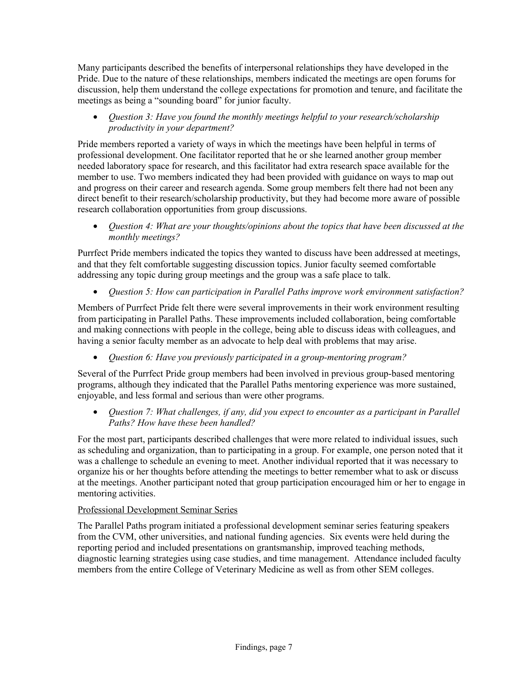Many participants described the benefits of interpersonal relationships they have developed in the Pride. Due to the nature of these relationships, members indicated the meetings are open forums for discussion, help them understand the college expectations for promotion and tenure, and facilitate the meetings as being a "sounding board" for junior faculty.

• *Question 3: Have you found the monthly meetings helpful to your research/scholarship productivity in your department?*

Pride members reported a variety of ways in which the meetings have been helpful in terms of professional development. One facilitator reported that he or she learned another group member needed laboratory space for research, and this facilitator had extra research space available for the member to use. Two members indicated they had been provided with guidance on ways to map out and progress on their career and research agenda. Some group members felt there had not been any direct benefit to their research/scholarship productivity, but they had become more aware of possible research collaboration opportunities from group discussions.

• *Question 4: What are your thoughts/opinions about the topics that have been discussed at the monthly meetings?* 

Purrfect Pride members indicated the topics they wanted to discuss have been addressed at meetings, and that they felt comfortable suggesting discussion topics. Junior faculty seemed comfortable addressing any topic during group meetings and the group was a safe place to talk.

• *Question 5: How can participation in Parallel Paths improve work environment satisfaction?*

Members of Purrfect Pride felt there were several improvements in their work environment resulting from participating in Parallel Paths. These improvements included collaboration, being comfortable and making connections with people in the college, being able to discuss ideas with colleagues, and having a senior faculty member as an advocate to help deal with problems that may arise.

• *Question 6: Have you previously participated in a group-mentoring program?* 

Several of the Purrfect Pride group members had been involved in previous group-based mentoring programs, although they indicated that the Parallel Paths mentoring experience was more sustained, enjoyable, and less formal and serious than were other programs.

• *Question 7: What challenges, if any, did you expect to encounter as a participant in Parallel Paths? How have these been handled?* 

For the most part, participants described challenges that were more related to individual issues, such as scheduling and organization, than to participating in a group. For example, one person noted that it was a challenge to schedule an evening to meet. Another individual reported that it was necessary to organize his or her thoughts before attending the meetings to better remember what to ask or discuss at the meetings. Another participant noted that group participation encouraged him or her to engage in mentoring activities.

# Professional Development Seminar Series

The Parallel Paths program initiated a professional development seminar series featuring speakers from the CVM, other universities, and national funding agencies. Six events were held during the reporting period and included presentations on grantsmanship, improved teaching methods, diagnostic learning strategies using case studies, and time management. Attendance included faculty members from the entire College of Veterinary Medicine as well as from other SEM colleges.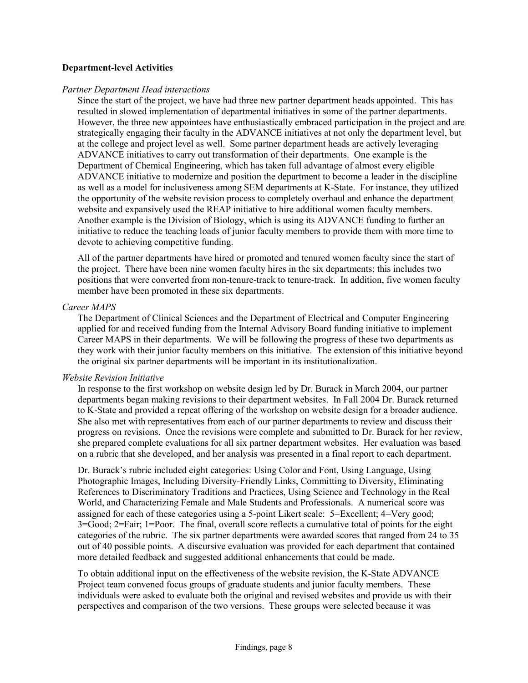#### **Department-level Activities**

#### *Partner Department Head interactions*

Since the start of the project, we have had three new partner department heads appointed. This has resulted in slowed implementation of departmental initiatives in some of the partner departments. However, the three new appointees have enthusiastically embraced participation in the project and are strategically engaging their faculty in the ADVANCE initiatives at not only the department level, but at the college and project level as well. Some partner department heads are actively leveraging ADVANCE initiatives to carry out transformation of their departments. One example is the Department of Chemical Engineering, which has taken full advantage of almost every eligible ADVANCE initiative to modernize and position the department to become a leader in the discipline as well as a model for inclusiveness among SEM departments at K-State. For instance, they utilized the opportunity of the website revision process to completely overhaul and enhance the department website and expansively used the REAP initiative to hire additional women faculty members. Another example is the Division of Biology, which is using its ADVANCE funding to further an initiative to reduce the teaching loads of junior faculty members to provide them with more time to devote to achieving competitive funding.

All of the partner departments have hired or promoted and tenured women faculty since the start of the project. There have been nine women faculty hires in the six departments; this includes two positions that were converted from non-tenure-track to tenure-track. In addition, five women faculty member have been promoted in these six departments.

#### *Career MAPS*

The Department of Clinical Sciences and the Department of Electrical and Computer Engineering applied for and received funding from the Internal Advisory Board funding initiative to implement Career MAPS in their departments. We will be following the progress of these two departments as they work with their junior faculty members on this initiative. The extension of this initiative beyond the original six partner departments will be important in its institutionalization.

### *Website Revision Initiative*

In response to the first workshop on website design led by Dr. Burack in March 2004, our partner departments began making revisions to their department websites. In Fall 2004 Dr. Burack returned to K-State and provided a repeat offering of the workshop on website design for a broader audience. She also met with representatives from each of our partner departments to review and discuss their progress on revisions. Once the revisions were complete and submitted to Dr. Burack for her review, she prepared complete evaluations for all six partner department websites. Her evaluation was based on a rubric that she developed, and her analysis was presented in a final report to each department.

Dr. Burack's rubric included eight categories: Using Color and Font, Using Language, Using Photographic Images, Including Diversity-Friendly Links, Committing to Diversity, Eliminating References to Discriminatory Traditions and Practices, Using Science and Technology in the Real World, and Characterizing Female and Male Students and Professionals. A numerical score was assigned for each of these categories using a 5-point Likert scale: 5=Excellent; 4=Very good; 3=Good; 2=Fair; 1=Poor. The final, overall score reflects a cumulative total of points for the eight categories of the rubric. The six partner departments were awarded scores that ranged from 24 to 35 out of 40 possible points. A discursive evaluation was provided for each department that contained more detailed feedback and suggested additional enhancements that could be made.

To obtain additional input on the effectiveness of the website revision, the K-State ADVANCE Project team convened focus groups of graduate students and junior faculty members. These individuals were asked to evaluate both the original and revised websites and provide us with their perspectives and comparison of the two versions. These groups were selected because it was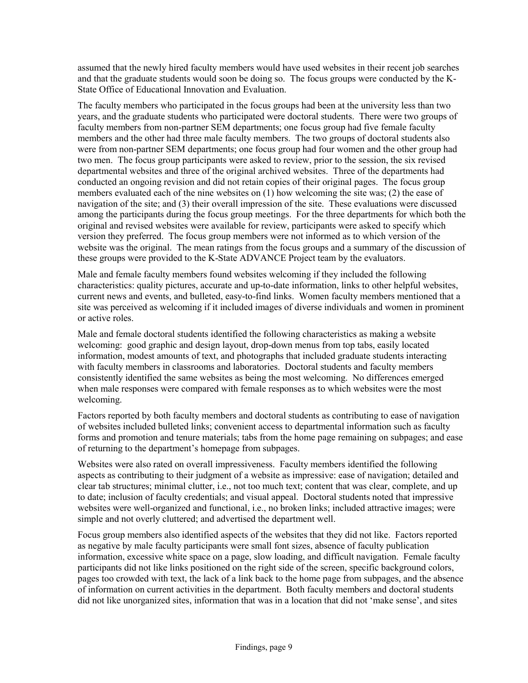assumed that the newly hired faculty members would have used websites in their recent job searches and that the graduate students would soon be doing so. The focus groups were conducted by the K-State Office of Educational Innovation and Evaluation.

The faculty members who participated in the focus groups had been at the university less than two years, and the graduate students who participated were doctoral students. There were two groups of faculty members from non-partner SEM departments; one focus group had five female faculty members and the other had three male faculty members. The two groups of doctoral students also were from non-partner SEM departments; one focus group had four women and the other group had two men. The focus group participants were asked to review, prior to the session, the six revised departmental websites and three of the original archived websites. Three of the departments had conducted an ongoing revision and did not retain copies of their original pages. The focus group members evaluated each of the nine websites on (1) how welcoming the site was; (2) the ease of navigation of the site; and (3) their overall impression of the site. These evaluations were discussed among the participants during the focus group meetings. For the three departments for which both the original and revised websites were available for review, participants were asked to specify which version they preferred. The focus group members were not informed as to which version of the website was the original. The mean ratings from the focus groups and a summary of the discussion of these groups were provided to the K-State ADVANCE Project team by the evaluators.

Male and female faculty members found websites welcoming if they included the following characteristics: quality pictures, accurate and up-to-date information, links to other helpful websites, current news and events, and bulleted, easy-to-find links. Women faculty members mentioned that a site was perceived as welcoming if it included images of diverse individuals and women in prominent or active roles.

Male and female doctoral students identified the following characteristics as making a website welcoming: good graphic and design layout, drop-down menus from top tabs, easily located information, modest amounts of text, and photographs that included graduate students interacting with faculty members in classrooms and laboratories. Doctoral students and faculty members consistently identified the same websites as being the most welcoming. No differences emerged when male responses were compared with female responses as to which websites were the most welcoming.

Factors reported by both faculty members and doctoral students as contributing to ease of navigation of websites included bulleted links; convenient access to departmental information such as faculty forms and promotion and tenure materials; tabs from the home page remaining on subpages; and ease of returning to the department's homepage from subpages.

Websites were also rated on overall impressiveness. Faculty members identified the following aspects as contributing to their judgment of a website as impressive: ease of navigation; detailed and clear tab structures; minimal clutter, i.e., not too much text; content that was clear, complete, and up to date; inclusion of faculty credentials; and visual appeal. Doctoral students noted that impressive websites were well-organized and functional, i.e., no broken links; included attractive images; were simple and not overly cluttered; and advertised the department well.

Focus group members also identified aspects of the websites that they did not like. Factors reported as negative by male faculty participants were small font sizes, absence of faculty publication information, excessive white space on a page, slow loading, and difficult navigation. Female faculty participants did not like links positioned on the right side of the screen, specific background colors, pages too crowded with text, the lack of a link back to the home page from subpages, and the absence of information on current activities in the department. Both faculty members and doctoral students did not like unorganized sites, information that was in a location that did not 'make sense', and sites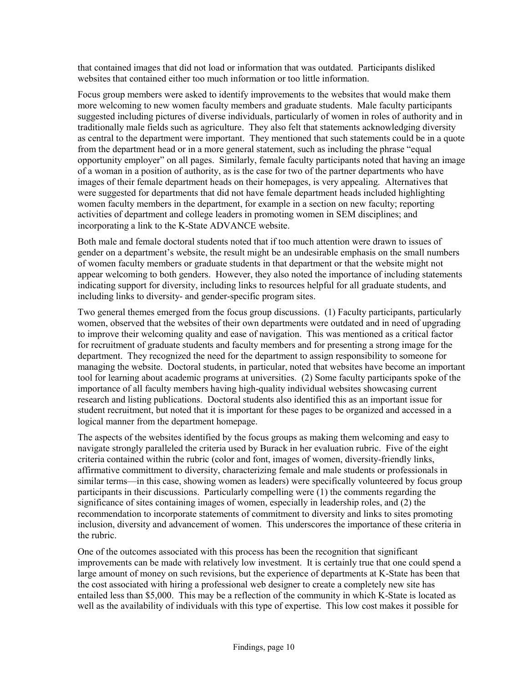that contained images that did not load or information that was outdated. Participants disliked websites that contained either too much information or too little information.

Focus group members were asked to identify improvements to the websites that would make them more welcoming to new women faculty members and graduate students. Male faculty participants suggested including pictures of diverse individuals, particularly of women in roles of authority and in traditionally male fields such as agriculture. They also felt that statements acknowledging diversity as central to the department were important. They mentioned that such statements could be in a quote from the department head or in a more general statement, such as including the phrase "equal opportunity employer" on all pages. Similarly, female faculty participants noted that having an image of a woman in a position of authority, as is the case for two of the partner departments who have images of their female department heads on their homepages, is very appealing. Alternatives that were suggested for departments that did not have female department heads included highlighting women faculty members in the department, for example in a section on new faculty; reporting activities of department and college leaders in promoting women in SEM disciplines; and incorporating a link to the K-State ADVANCE website.

Both male and female doctoral students noted that if too much attention were drawn to issues of gender on a department's website, the result might be an undesirable emphasis on the small numbers of women faculty members or graduate students in that department or that the website might not appear welcoming to both genders. However, they also noted the importance of including statements indicating support for diversity, including links to resources helpful for all graduate students, and including links to diversity- and gender-specific program sites.

Two general themes emerged from the focus group discussions. (1) Faculty participants, particularly women, observed that the websites of their own departments were outdated and in need of upgrading to improve their welcoming quality and ease of navigation. This was mentioned as a critical factor for recruitment of graduate students and faculty members and for presenting a strong image for the department. They recognized the need for the department to assign responsibility to someone for managing the website. Doctoral students, in particular, noted that websites have become an important tool for learning about academic programs at universities. (2) Some faculty participants spoke of the importance of all faculty members having high-quality individual websites showcasing current research and listing publications. Doctoral students also identified this as an important issue for student recruitment, but noted that it is important for these pages to be organized and accessed in a logical manner from the department homepage.

The aspects of the websites identified by the focus groups as making them welcoming and easy to navigate strongly paralleled the criteria used by Burack in her evaluation rubric. Five of the eight criteria contained within the rubric (color and font, images of women, diversity-friendly links, affirmative committment to diversity, characterizing female and male students or professionals in similar terms—in this case, showing women as leaders) were specifically volunteered by focus group participants in their discussions. Particularly compelling were (1) the comments regarding the significance of sites containing images of women, especially in leadership roles, and (2) the recommendation to incorporate statements of commitment to diversity and links to sites promoting inclusion, diversity and advancement of women. This underscores the importance of these criteria in the rubric.

One of the outcomes associated with this process has been the recognition that significant improvements can be made with relatively low investment. It is certainly true that one could spend a large amount of money on such revisions, but the experience of departments at K-State has been that the cost associated with hiring a professional web designer to create a completely new site has entailed less than \$5,000. This may be a reflection of the community in which K-State is located as well as the availability of individuals with this type of expertise. This low cost makes it possible for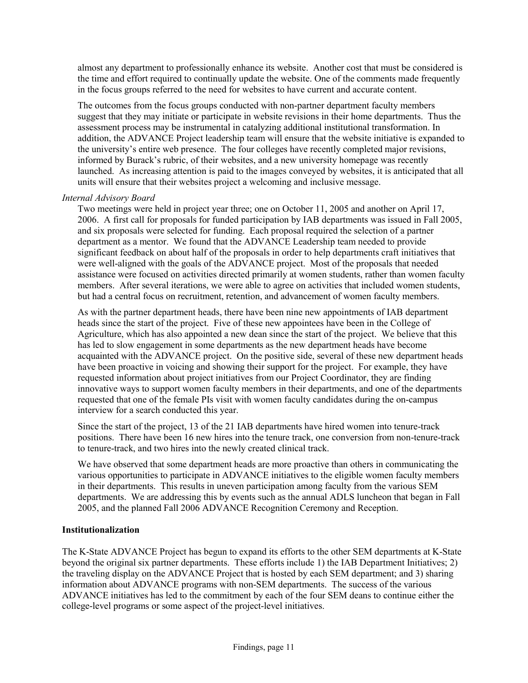almost any department to professionally enhance its website. Another cost that must be considered is the time and effort required to continually update the website. One of the comments made frequently in the focus groups referred to the need for websites to have current and accurate content.

The outcomes from the focus groups conducted with non-partner department faculty members suggest that they may initiate or participate in website revisions in their home departments. Thus the assessment process may be instrumental in catalyzing additional institutional transformation. In addition, the ADVANCE Project leadership team will ensure that the website initiative is expanded to the university's entire web presence. The four colleges have recently completed major revisions, informed by Burack's rubric, of their websites, and a new university homepage was recently launched. As increasing attention is paid to the images conveyed by websites, it is anticipated that all units will ensure that their websites project a welcoming and inclusive message.

### *Internal Advisory Board*

Two meetings were held in project year three; one on October 11, 2005 and another on April 17, 2006. A first call for proposals for funded participation by IAB departments was issued in Fall 2005, and six proposals were selected for funding. Each proposal required the selection of a partner department as a mentor. We found that the ADVANCE Leadership team needed to provide significant feedback on about half of the proposals in order to help departments craft initiatives that were well-aligned with the goals of the ADVANCE project. Most of the proposals that needed assistance were focused on activities directed primarily at women students, rather than women faculty members. After several iterations, we were able to agree on activities that included women students, but had a central focus on recruitment, retention, and advancement of women faculty members.

As with the partner department heads, there have been nine new appointments of IAB department heads since the start of the project. Five of these new appointees have been in the College of Agriculture, which has also appointed a new dean since the start of the project. We believe that this has led to slow engagement in some departments as the new department heads have become acquainted with the ADVANCE project. On the positive side, several of these new department heads have been proactive in voicing and showing their support for the project. For example, they have requested information about project initiatives from our Project Coordinator, they are finding innovative ways to support women faculty members in their departments, and one of the departments requested that one of the female PIs visit with women faculty candidates during the on-campus interview for a search conducted this year.

Since the start of the project, 13 of the 21 IAB departments have hired women into tenure-track positions. There have been 16 new hires into the tenure track, one conversion from non-tenure-track to tenure-track, and two hires into the newly created clinical track.

We have observed that some department heads are more proactive than others in communicating the various opportunities to participate in ADVANCE initiatives to the eligible women faculty members in their departments. This results in uneven participation among faculty from the various SEM departments. We are addressing this by events such as the annual ADLS luncheon that began in Fall 2005, and the planned Fall 2006 ADVANCE Recognition Ceremony and Reception.

### **Institutionalization**

The K-State ADVANCE Project has begun to expand its efforts to the other SEM departments at K-State beyond the original six partner departments. These efforts include 1) the IAB Department Initiatives; 2) the traveling display on the ADVANCE Project that is hosted by each SEM department; and 3) sharing information about ADVANCE programs with non-SEM departments. The success of the various ADVANCE initiatives has led to the commitment by each of the four SEM deans to continue either the college-level programs or some aspect of the project-level initiatives.